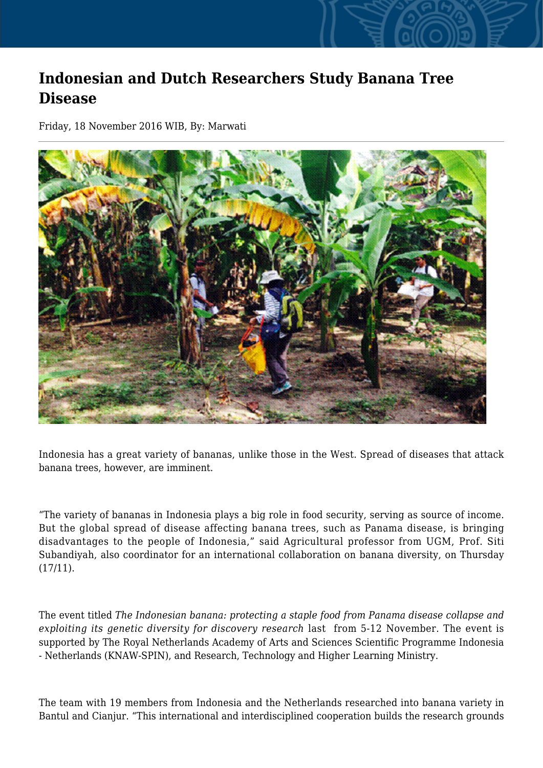## **Indonesian and Dutch Researchers Study Banana Tree Disease**

Friday, 18 November 2016 WIB, By: Marwati



Indonesia has a great variety of bananas, unlike those in the West. Spread of diseases that attack banana trees, however, are imminent.

"The variety of bananas in Indonesia plays a big role in food security, serving as source of income. But the global spread of disease affecting banana trees, such as Panama disease, is bringing disadvantages to the people of Indonesia," said Agricultural professor from UGM, Prof. Siti Subandiyah, also coordinator for an international collaboration on banana diversity, on Thursday (17/11).

The event titled *The Indonesian banana: protecting a staple food from Panama disease collapse and exploiting its genetic diversity for discovery research* last from 5-12 November. The event is supported by The Royal Netherlands Academy of Arts and Sciences Scientific Programme Indonesia - Netherlands (KNAW-SPIN), and Research, Technology and Higher Learning Ministry.

The team with 19 members from Indonesia and the Netherlands researched into banana variety in Bantul and Cianjur. "This international and interdisciplined cooperation builds the research grounds